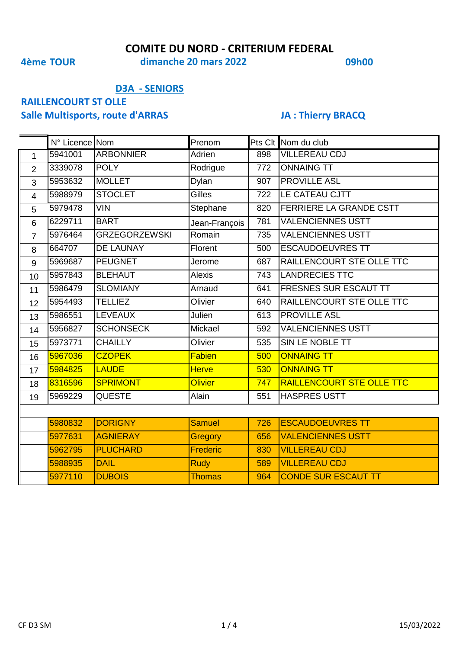**4ème TOUR 09h00 dimanche 20 mars 2022**

## **D3A - SENIORS**

# **RAILLENCOURT ST OLLE**

# **Salle Multisports, route d'ARRAS JA : Thierry BRACQ**

|                | N° Licence Nom |                      | Prenom         |     | Pts Clt Nom du club              |  |  |
|----------------|----------------|----------------------|----------------|-----|----------------------------------|--|--|
| $\mathbf{1}$   | 5941001        | <b>ARBONNIER</b>     | Adrien         | 898 | <b>VILLEREAU CDJ</b>             |  |  |
| $\overline{2}$ | 3339078        | <b>POLY</b>          | Rodrigue       | 772 | <b>ONNAING TT</b>                |  |  |
| 3              | 5953632        | <b>MOLLET</b>        | Dylan          | 907 | <b>PROVILLE ASL</b>              |  |  |
| $\overline{4}$ | 5988979        | <b>STOCLET</b>       | <b>Gilles</b>  | 722 | LE CATEAU CJTT                   |  |  |
| 5              | 5979478        | <b>VIN</b>           | Stephane       | 820 | FERRIERE LA GRANDE CSTT          |  |  |
| $6\phantom{1}$ | 6229711        | <b>BART</b>          | Jean-François  | 781 | <b>VALENCIENNES USTT</b>         |  |  |
| $\overline{7}$ | 5976464        | <b>GRZEGORZEWSKI</b> | Romain         | 735 | <b>VALENCIENNES USTT</b>         |  |  |
| 8              | 664707         | <b>DE LAUNAY</b>     | Florent        | 500 | <b>ESCAUDOEUVRES TT</b>          |  |  |
| 9              | 5969687        | <b>PEUGNET</b>       | Jerome         | 687 | RAILLENCOURT STE OLLE TTC        |  |  |
| 10             | 5957843        | <b>BLEHAUT</b>       | <b>Alexis</b>  | 743 | <b>LANDRECIES TTC</b>            |  |  |
| 11             | 5986479        | <b>SLOMIANY</b>      | Arnaud         | 641 | FRESNES SUR ESCAUT TT            |  |  |
| 12             | 5954493        | <b>TELLIEZ</b>       | Olivier        | 640 | RAILLENCOURT STE OLLE TTC        |  |  |
| 13             | 5986551        | <b>LEVEAUX</b>       | Julien         | 613 | <b>PROVILLE ASL</b>              |  |  |
| 14             | 5956827        | <b>SCHONSECK</b>     | Mickael        | 592 | <b>VALENCIENNES USTT</b>         |  |  |
| 15             | 5973771        | <b>CHAILLY</b>       | Olivier        | 535 | SIN LE NOBLE TT                  |  |  |
| 16             | 5967036        | <b>CZOPEK</b>        | Fabien         | 500 | <b>ONNAING TT</b>                |  |  |
| 17             | 5984825        | <b>LAUDE</b>         | <b>Herve</b>   | 530 | <b>ONNAING TT</b>                |  |  |
| 18             | 8316596        | <b>SPRIMONT</b>      | <b>Olivier</b> | 747 | <b>RAILLENCOURT STE OLLE TTC</b> |  |  |
| 19             | 5969229        | <b>QUESTE</b>        | Alain          | 551 | <b>HASPRES USTT</b>              |  |  |
|                |                |                      |                |     |                                  |  |  |
|                | 5980832        | <b>DORIGNY</b>       | <b>Samuel</b>  | 726 | <b>ESCAUDOEUVRES TT</b>          |  |  |
|                | 5977631        | <b>AGNIERAY</b>      | Gregory        | 656 | <b>VALENCIENNES USTT</b>         |  |  |
|                | 5962795        | <b>PLUCHARD</b>      | Frederic       | 830 | <b>VILLEREAU CDJ</b>             |  |  |
|                | 5988935        | <b>DAIL</b>          | <b>Rudy</b>    | 589 | <b>VILLEREAU CDJ</b>             |  |  |
|                | 5977110        | <b>DUBOIS</b>        | <b>Thomas</b>  | 964 | <b>CONDE SUR ESCAUT TT</b>       |  |  |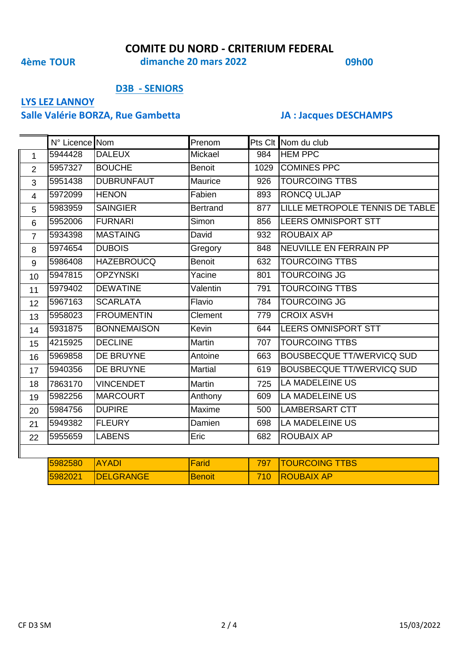**4ème TOUR 09h00 dimanche 20 mars 2022**

### **D3B - SENIORS**

# **LYS LEZ LANNOY**

# **Salle Valérie BORZA, Rue Gambetta JA : Jacques DESCHAMPS**

|                | N° Licence Nom |                    | Prenom          |      | Pts Clt Nom du club              |
|----------------|----------------|--------------------|-----------------|------|----------------------------------|
| $\mathbf{1}$   | 5944428        | <b>DALEUX</b>      | Mickael         | 984  | <b>HEM PPC</b>                   |
| $\overline{2}$ | 5957327        | <b>BOUCHE</b>      | <b>Benoit</b>   | 1029 | <b>COMINES PPC</b>               |
| 3              | 5951438        | <b>DUBRUNFAUT</b>  | Maurice         | 926  | <b>TOURCOING TTBS</b>            |
| $\overline{4}$ | 5972099        | <b>HENON</b>       | Fabien          | 893  | <b>RONCQ ULJAP</b>               |
| 5              | 5983959        | <b>SAINGIER</b>    | <b>Bertrand</b> | 877  | LILLE METROPOLE TENNIS DE TABLE  |
| 6              | 5952006        | <b>FURNARI</b>     | Simon           | 856  | <b>LEERS OMNISPORT STT</b>       |
| $\overline{7}$ | 5934398        | <b>MASTAING</b>    | David           | 932  | <b>ROUBAIX AP</b>                |
| 8              | 5974654        | <b>DUBOIS</b>      | Gregory         | 848  | NEUVILLE EN FERRAIN PP           |
| 9              | 5986408        | <b>HAZEBROUCQ</b>  | <b>Benoit</b>   | 632  | <b>TOURCOING TTBS</b>            |
| 10             | 5947815        | <b>OPZYNSKI</b>    | Yacine          | 801  | <b>TOURCOING JG</b>              |
| 11             | 5979402        | <b>DEWATINE</b>    | Valentin        | 791  | <b>TOURCOING TTBS</b>            |
| 12             | 5967163        | <b>SCARLATA</b>    | Flavio          | 784  | <b>TOURCOING JG</b>              |
| 13             | 5958023        | <b>FROUMENTIN</b>  | Clement         | 779  | <b>CROIX ASVH</b>                |
| 14             | 5931875        | <b>BONNEMAISON</b> | Kevin           | 644  | <b>LEERS OMNISPORT STT</b>       |
| 15             | 4215925        | <b>DECLINE</b>     | <b>Martin</b>   | 707  | <b>TOURCOING TTBS</b>            |
| 16             | 5969858        | DE BRUYNE          | Antoine         | 663  | <b>BOUSBECQUE TT/WERVICQ SUD</b> |
| 17             | 5940356        | DE BRUYNE          | <b>Martial</b>  | 619  | <b>BOUSBECQUE TT/WERVICQ SUD</b> |
| 18             | 7863170        | <b>VINCENDET</b>   | Martin          | 725  | <b>LA MADELEINE US</b>           |
| 19             | 5982256        | <b>MARCOURT</b>    | Anthony         | 609  | <b>LA MADELEINE US</b>           |
| 20             | 5984756        | <b>DUPIRE</b>      | Maxime          | 500  | <b>LAMBERSART CTT</b>            |
| 21             | 5949382        | <b>FLEURY</b>      | Damien          | 698  | LA MADELEINE US                  |
| 22             | 5955659        | <b>LABENS</b>      | Eric            | 682  | <b>ROUBAIX AP</b>                |
|                |                |                    |                 |      |                                  |

| <b>5982580 AYADI</b> |                   | <b>IFarid</b> | 797   TOURCOING TTBS |
|----------------------|-------------------|---------------|----------------------|
| 5982021              | <b>IDELGRANGE</b> | <b>Benoit</b> | 710 ROUBAIX AP       |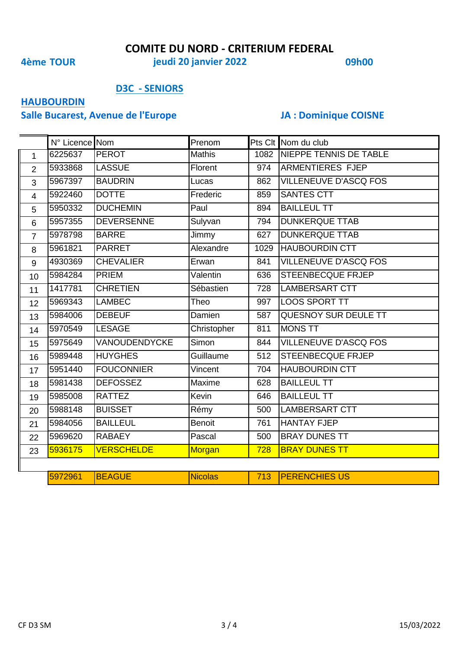**4ème TOUR 09h00 jeudi 20 janvier 2022**

## **D3C - SENIORS**

# **HAUBOURDIN**

# **Salle Bucarest, Avenue de l'Europe JA : Dominique COISNE**

|                | N° Licence Nom |                   | Prenom         |      | Pts Clt Nom du club          |
|----------------|----------------|-------------------|----------------|------|------------------------------|
| $\mathbf{1}$   | 6225637        | <b>PEROT</b>      | <b>Mathis</b>  |      | 1082 NIEPPE TENNIS DE TABLE  |
| $\overline{2}$ | 5933868        | <b>LASSUE</b>     | Florent        | 974  | <b>ARMENTIERES FJEP</b>      |
| 3              | 5967397        | <b>BAUDRIN</b>    | Lucas          | 862  | <b>VILLENEUVE D'ASCQ FOS</b> |
| $\overline{4}$ | 5922460        | <b>DOTTE</b>      | Frederic       | 859  | SANTES CTT                   |
| 5              | 5950332        | <b>DUCHEMIN</b>   | Paul           | 894  | <b>BAILLEUL TT</b>           |
| $6\phantom{1}$ | 5957355        | <b>DEVERSENNE</b> | Sulyvan        | 794  | <b>DUNKERQUE TTAB</b>        |
| $\overline{7}$ | 5978798        | <b>BARRE</b>      | Jimmy          | 627  | <b>DUNKERQUE TTAB</b>        |
| 8              | 5961821        | <b>PARRET</b>     | Alexandre      | 1029 | <b>HAUBOURDIN CTT</b>        |
| 9              | 4930369        | <b>CHEVALIER</b>  | Erwan          | 841  | <b>VILLENEUVE D'ASCQ FOS</b> |
| 10             | 5984284        | <b>PRIEM</b>      | Valentin       | 636  | <b>STEENBECQUE FRJEP</b>     |
| 11             | 1417781        | <b>CHRETIEN</b>   | Sébastien      | 728  | <b>LAMBERSART CTT</b>        |
| 12             | 5969343        | <b>LAMBEC</b>     | Theo           | 997  | <b>LOOS SPORT TT</b>         |
| 13             | 5984006        | <b>DEBEUF</b>     | Damien         | 587  | QUESNOY SUR DEULE TT         |
| 14             | 5970549        | <b>LESAGE</b>     | Christopher    | 811  | <b>MONS TT</b>               |
| 15             | 5975649        | VANOUDENDYCKE     | Simon          | 844  | <b>VILLENEUVE D'ASCQ FOS</b> |
| 16             | 5989448        | <b>HUYGHES</b>    | Guillaume      | 512  | STEENBECQUE FRJEP            |
| 17             | 5951440        | <b>FOUCONNIER</b> | Vincent        | 704  | <b>HAUBOURDIN CTT</b>        |
| 18             | 5981438        | <b>DEFOSSEZ</b>   | Maxime         | 628  | <b>BAILLEUL TT</b>           |
| 19             | 5985008        | <b>RATTEZ</b>     | Kevin          | 646  | <b>BAILLEUL TT</b>           |
| 20             | 5988148        | <b>BUISSET</b>    | Rémy           | 500  | LAMBERSART CTT               |
| 21             | 5984056        | <b>BAILLEUL</b>   | <b>Benoit</b>  | 761  | <b>HANTAY FJEP</b>           |
| 22             | 5969620        | <b>RABAEY</b>     | Pascal         | 500  | <b>BRAY DUNES TT</b>         |
| 23             | 5936175        | <b>VERSCHELDE</b> | Morgan         | 728  | <b>BRAY DUNES TT</b>         |
|                |                |                   |                |      |                              |
|                | 5972961        | <b>BEAGUE</b>     | <b>Nicolas</b> | 713  | <b>PERENCHIES US</b>         |